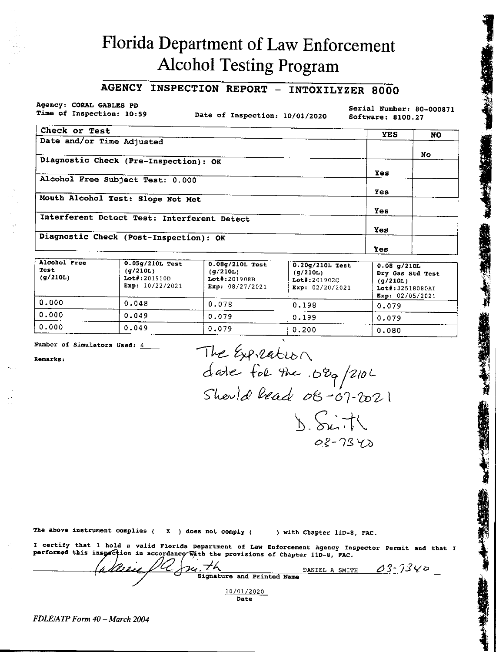# Florida Department of Law Enforcement **Alcohol Testing Program**

## **AGENCY INSPECTION REPORT - INTOXILYZER 8000**

Agency: CORAL GABLES PD Time of Inspection: 10:59

Date of Inspection: 10/01/2020

Serial Number: 80-000871 Software: 8100.27

| Check or Test                               | <b>YES</b> | <b>NO</b> |
|---------------------------------------------|------------|-----------|
| Date and/or Time Adjusted                   |            |           |
|                                             |            | No.       |
| Diagnostic Check (Pre-Inspection): OK       |            |           |
|                                             | <b>Yes</b> |           |
| Alcohol Free Subject Test: 0.000            |            |           |
|                                             | Yes        |           |
| Mouth Alcohol Test: Slope Not Met           |            |           |
|                                             | Yes        |           |
| Interferent Detect Test: Interferent Detect |            |           |
|                                             | Yes        |           |
| Diagnostic Check (Post-Inspection): OK      |            |           |
|                                             | Yes        |           |

| Alcohol Free<br>Test<br>(g/210L) | $0.05g/210L$ Test<br>(g/210L)<br>$Lot$ : 201910D<br>Exp: $10/22/2021$ | $0.08g/210L$ Test<br>(q/210L)<br>Lot#:201908B<br>Exp: $08/27/2021$ | $0.20q/210L$ Test<br>(q/210L)<br>$Lot$ $* : 201902C$<br>Exp: $02/20/2021$ | $0.08$ g/210L<br>Dry Gas Std Test<br>(q/210L)<br>Lot#:32518080AI<br>Exp: $02/05/2021$ |
|----------------------------------|-----------------------------------------------------------------------|--------------------------------------------------------------------|---------------------------------------------------------------------------|---------------------------------------------------------------------------------------|
| 0.000                            | 0.048                                                                 | 0.078                                                              | 0.198                                                                     | 0.079                                                                                 |
| 0.000                            | 0.049                                                                 | 0.079                                                              | 0.199                                                                     | 0.079                                                                                 |
| 0.000                            | 0.049                                                                 | 0.079                                                              | 0.200                                                                     | 0.080                                                                                 |

Number of Simulators Used:  $\frac{4}{3}$ 

Remarks:

The Expression<br>date for the .080/210L<br>Should lead 08-07-2021  $D.$ Siith  $02 - 7340$ 

The above instrument complies  $($   $x$   $)$  does not comply  $($ 

) with Chapter 11D-8, FAC.

DANIEL A SMITH

 $03 - 7340$ 

I certify that I hold a valid Florida Department of Law Enforcement Agency Inspector Permit and that I performed this inspection in accordance with the provisions of Chapter 11D-8, FAC.

 $\frac{2a}{\sqrt{h}}$  Signature and Printed Name 10/01/2020 Date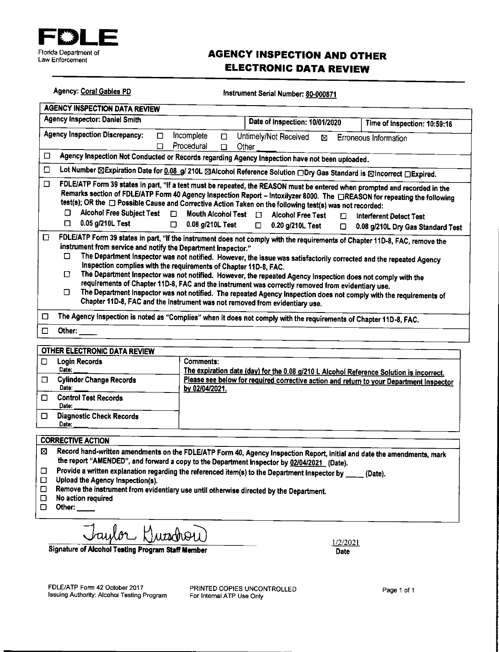

## **AGENCY INSPECTION AND OTHER ELECTRONIC DATA REVIEW**

|                                           | Agency: Coral Gables PD<br>Instrument Serial Number: 80-000871                                                                                                                                                                                                                                                                                                                                                                                                                                                                                                                                                                                                                                                                                                                                                  |                                                    |                                                                                                                                                                     |             |                                                                                                                                                                                                                                                                                                                        |  |
|-------------------------------------------|-----------------------------------------------------------------------------------------------------------------------------------------------------------------------------------------------------------------------------------------------------------------------------------------------------------------------------------------------------------------------------------------------------------------------------------------------------------------------------------------------------------------------------------------------------------------------------------------------------------------------------------------------------------------------------------------------------------------------------------------------------------------------------------------------------------------|----------------------------------------------------|---------------------------------------------------------------------------------------------------------------------------------------------------------------------|-------------|------------------------------------------------------------------------------------------------------------------------------------------------------------------------------------------------------------------------------------------------------------------------------------------------------------------------|--|
|                                           | <b>AGENCY INSPECTION DATA REVIEW</b>                                                                                                                                                                                                                                                                                                                                                                                                                                                                                                                                                                                                                                                                                                                                                                            |                                                    |                                                                                                                                                                     |             |                                                                                                                                                                                                                                                                                                                        |  |
|                                           | <b>Agency Inspector: Daniel Smith</b><br>Date of Inspection: 10/01/2020<br>Time of Inspection: 10:59:16                                                                                                                                                                                                                                                                                                                                                                                                                                                                                                                                                                                                                                                                                                         |                                                    |                                                                                                                                                                     |             |                                                                                                                                                                                                                                                                                                                        |  |
| <b>Agency Inspection Discrepancy:</b>     | $\Box$<br>П                                                                                                                                                                                                                                                                                                                                                                                                                                                                                                                                                                                                                                                                                                                                                                                                     | Incomplete<br>$\Box$<br>Procedural<br>$\Box$       | Untimely/Not Received<br>Other                                                                                                                                      | ⊠           | Erroneous Information                                                                                                                                                                                                                                                                                                  |  |
| □                                         |                                                                                                                                                                                                                                                                                                                                                                                                                                                                                                                                                                                                                                                                                                                                                                                                                 |                                                    | Agency Inspection Not Conducted or Records regarding Agency Inspection have not been uploaded.                                                                      |             |                                                                                                                                                                                                                                                                                                                        |  |
| □                                         |                                                                                                                                                                                                                                                                                                                                                                                                                                                                                                                                                                                                                                                                                                                                                                                                                 |                                                    |                                                                                                                                                                     |             | Lot Number ⊠Expiration Date for 0.08_g/ 210L ⊠Alcohol Reference Solution □Dry Gas Standard is ⊠Incorrect □Expired.                                                                                                                                                                                                     |  |
| □<br>$\Box$                               | □ Alcohol Free Subject Test □<br>0.05 g/210L Test                                                                                                                                                                                                                                                                                                                                                                                                                                                                                                                                                                                                                                                                                                                                                               | Mouth Alcohol Test D<br>$\Box$<br>0.08 g/210L Test | test(s); OR the $\Box$ Possible Cause and Corrective Action Taken on the following test(s) was not recorded:<br><b>Alcohol Free Test</b><br>$\Box$ 0.20 g/210L Test | п<br>$\Box$ | FDLE/ATP Form 39 states in part, "If a test must be repeated, the REASON must be entered when prompted and recorded in the<br>Remarks section of FDLE/ATP Form 40 Agency Inspection Report - Intoxilyzer 8000. The □REASON for repeating the following<br>Interferent Detect Test<br>0.08 g/210L Dry Gas Standard Test |  |
| O<br>□<br>□<br>П.                         | FDLE/ATP Form 39 states in part, "If the instrument does not comply with the requirements of Chapter 11D-8, FAC, remove the<br>instrument from service and notify the Department Inspector."<br>The Department Inspector was not notified. However, the issue was satisfactorily corrected and the repeated Agency<br>Inspection complies with the requirements of Chapter 11D-8, FAC.<br>The Department Inspector was not notified. However, the repeated Agency Inspection does not comply with the<br>requirements of Chapter 11D-8, FAC and the instrument was correctly removed from evidentiary use.<br>The Department Inspector was not notified. The repeated Agency Inspection does not comply with the requirements of<br>Chapter 11D-8, FAC and the instrument was not removed from evidentiary use. |                                                    |                                                                                                                                                                     |             |                                                                                                                                                                                                                                                                                                                        |  |
| О                                         |                                                                                                                                                                                                                                                                                                                                                                                                                                                                                                                                                                                                                                                                                                                                                                                                                 |                                                    | The Agency Inspection is noted as "Complies" when it does not comply with the requirements of Chapter 11D-8, FAC.                                                   |             |                                                                                                                                                                                                                                                                                                                        |  |
| □<br>Other:                               |                                                                                                                                                                                                                                                                                                                                                                                                                                                                                                                                                                                                                                                                                                                                                                                                                 |                                                    |                                                                                                                                                                     |             |                                                                                                                                                                                                                                                                                                                        |  |
| <b>OTHER ELECTRONIC DATA REVIEW</b>       |                                                                                                                                                                                                                                                                                                                                                                                                                                                                                                                                                                                                                                                                                                                                                                                                                 |                                                    |                                                                                                                                                                     |             |                                                                                                                                                                                                                                                                                                                        |  |
| <b>Login Records</b><br>О<br>Date:        |                                                                                                                                                                                                                                                                                                                                                                                                                                                                                                                                                                                                                                                                                                                                                                                                                 | Comments:                                          |                                                                                                                                                                     |             |                                                                                                                                                                                                                                                                                                                        |  |
| Ω.<br>Date:                               | The expiration date (day) for the 0.08 g/210 L Alcohol Reference Solution is incorrect.<br><b>Cylinder Change Records</b><br>Please see below for required corrective action and return to your Department Inspector<br>by 02/04/2021.                                                                                                                                                                                                                                                                                                                                                                                                                                                                                                                                                                          |                                                    |                                                                                                                                                                     |             |                                                                                                                                                                                                                                                                                                                        |  |
| <b>Control Test Records</b><br>□<br>Date: |                                                                                                                                                                                                                                                                                                                                                                                                                                                                                                                                                                                                                                                                                                                                                                                                                 |                                                    |                                                                                                                                                                     |             |                                                                                                                                                                                                                                                                                                                        |  |
| ◻<br>Date:                                | <b>Diagnostic Check Records</b>                                                                                                                                                                                                                                                                                                                                                                                                                                                                                                                                                                                                                                                                                                                                                                                 |                                                    |                                                                                                                                                                     |             |                                                                                                                                                                                                                                                                                                                        |  |
| <b>CORRECTIVE ACTION</b>                  |                                                                                                                                                                                                                                                                                                                                                                                                                                                                                                                                                                                                                                                                                                                                                                                                                 |                                                    |                                                                                                                                                                     |             |                                                                                                                                                                                                                                                                                                                        |  |
| ⊠                                         |                                                                                                                                                                                                                                                                                                                                                                                                                                                                                                                                                                                                                                                                                                                                                                                                                 |                                                    | the report "AMENDED", and forward a copy to the Department Inspector by 02/04/2021 (Date).                                                                          |             | Record hand-written amendments on the FDLE/ATP Form 40, Agency Inspection Report, initial and date the amendments, mark                                                                                                                                                                                                |  |

Provide a written explanation regarding the referenced item(s) to the Department inspector by \_\_\_\_ (Date).  $\hfill \square$ 

- Upload the Agency Inspection(s).
- Remove the instrument from evidentiary use until otherwise directed by the Department.  $\Box$
- $\Box$ No action required
- $\Box$ Other:

aulor Kurschou

**Signature of Alcohol Testing Program Staff Member** 

 $1/2/2021$ Date

PRINTED COPIES UNCONTROLLED For Internal ATP Use Only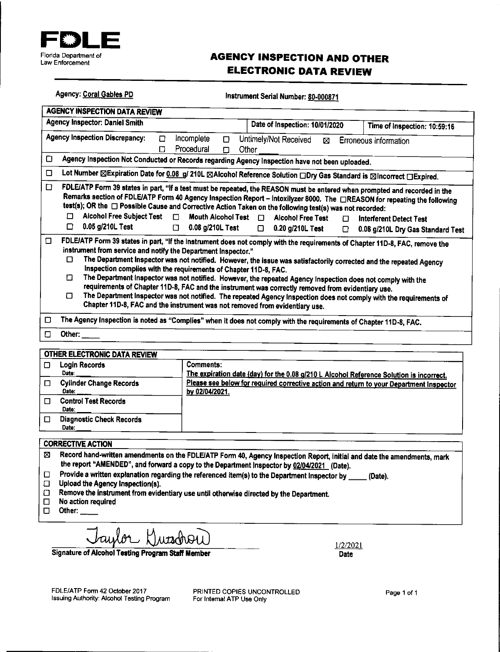

**Agency: Coral Gables PD** 

## **AGENCY INSPECTION AND OTHER ELECTRONIC DATA REVIEW**

|        | <b>Agency: Coral Gables PD</b><br>Instrument Serial Number: 80-000871                                                                                                                                                                                                                                                                                                                                                                                                                                                                                                                                                                                                                                                                                                                                                                                                     |  |  |  |  |
|--------|---------------------------------------------------------------------------------------------------------------------------------------------------------------------------------------------------------------------------------------------------------------------------------------------------------------------------------------------------------------------------------------------------------------------------------------------------------------------------------------------------------------------------------------------------------------------------------------------------------------------------------------------------------------------------------------------------------------------------------------------------------------------------------------------------------------------------------------------------------------------------|--|--|--|--|
|        | <b>AGENCY INSPECTION DATA REVIEW</b>                                                                                                                                                                                                                                                                                                                                                                                                                                                                                                                                                                                                                                                                                                                                                                                                                                      |  |  |  |  |
|        | <b>Agency Inspector: Daniel Smith</b><br>Date of Inspection: 10/01/2020<br>Time of Inspection: 10:59:16                                                                                                                                                                                                                                                                                                                                                                                                                                                                                                                                                                                                                                                                                                                                                                   |  |  |  |  |
|        | <b>Agency Inspection Discrepancy:</b><br>Incomplete<br>Untimely/Not Received<br>п<br>□<br>Erroneous Information<br>⊠<br>Procedural<br>П<br>Other<br>Ω                                                                                                                                                                                                                                                                                                                                                                                                                                                                                                                                                                                                                                                                                                                     |  |  |  |  |
| □      | Agency Inspection Not Conducted or Records regarding Agency Inspection have not been uploaded.                                                                                                                                                                                                                                                                                                                                                                                                                                                                                                                                                                                                                                                                                                                                                                            |  |  |  |  |
| □      | Lot Number ⊠Expiration Date for 0.08 g/ 210L ⊠Alcohol Reference Solution aDry Gas Standard is ⊠Incorrect aExpired.                                                                                                                                                                                                                                                                                                                                                                                                                                                                                                                                                                                                                                                                                                                                                        |  |  |  |  |
| □      | FDLE/ATP Form 39 states in part, "If a test must be repeated, the REASON must be entered when prompted and recorded in the<br>Remarks section of FDLE/ATP Form 40 Agency Inspection Report – Intoxilyzer 8000. The □REASON for repeating the following<br>test(s); OR the □ Possible Cause and Corrective Action Taken on the following test(s) was not recorded:<br><b>Alcohol Free Subject Test</b><br>п<br>$\Box$<br>Mouth Alcohol Test 0<br><b>Alcohol Free Test</b><br><b>Interferent Detect Test</b><br>П<br>0.05 g/210L Test<br>□<br>0.08 g/210L Test<br>$\Box$<br>0.20 g/210L Test<br>$\Box$                                                                                                                                                                                                                                                                      |  |  |  |  |
| $\Box$ | 0.08 g/210L Dry Gas Standard Test<br>n.<br>FDLE/ATP Form 39 states in part, "If the instrument does not comply with the requirements of Chapter 11D-8, FAC, remove the<br>instrument from service and notify the Department Inspector."<br>The Department Inspector was not notified. However, the issue was satisfactorily corrected and the repeated Agency<br>п<br>Inspection complies with the requirements of Chapter 11D-8, FAC.<br>n<br>The Department Inspector was not notified. However, the repeated Agency Inspection does not comply with the<br>requirements of Chapter 11D-8, FAC and the instrument was correctly removed from evidentiary use.<br>Π<br>The Department Inspector was not notified. The repeated Agency Inspection does not comply with the requirements of<br>Chapter 11D-8, FAC and the instrument was not removed from evidentiary use. |  |  |  |  |
| □      | The Agency Inspection is noted as "Complies" when it does not comply with the requirements of Chapter 11D-8, FAC.                                                                                                                                                                                                                                                                                                                                                                                                                                                                                                                                                                                                                                                                                                                                                         |  |  |  |  |
| □      | Other: $\_\_$                                                                                                                                                                                                                                                                                                                                                                                                                                                                                                                                                                                                                                                                                                                                                                                                                                                             |  |  |  |  |
|        |                                                                                                                                                                                                                                                                                                                                                                                                                                                                                                                                                                                                                                                                                                                                                                                                                                                                           |  |  |  |  |

| OTHER ELECTRONIC DATA REVIEW             |                                                                                                           |
|------------------------------------------|-----------------------------------------------------------------------------------------------------------|
| Login Records<br>Date:                   | Comments:<br>The expiration date (day) for the 0.08 g/210 L Alcohol Reference Solution is incorrect.      |
| <b>Cylinder Change Records</b><br>Date:  | Please see below for required corrective action and return to your Department Inspector<br>by 02/04/2021. |
| <b>Control Test Records</b><br>Date:     |                                                                                                           |
| <b>Diagnostic Check Records</b><br>Date: |                                                                                                           |
|                                          |                                                                                                           |

### **CORRECTIVE ACTION**

- Record hand-written amendments on the FDLE/ATP Form 40, Agency Inspection Report, initial and date the amendments, mark ⊠ the report "AMENDED", and forward a copy to the Department inspector by 02/04/2021 (Date).
- Provide a written explanation regarding the referenced item(s) to the Department Inspector by \_\_\_\_\_ (Date).  $\Box$
- $\Box$ Upload the Agency Inspection(s).
- Remove the instrument from evidentiary use until otherwise directed by the Department.  $\Box$
- No action required  $\Box$
- $\Box$ Other:

Signature of Alcohol Testing Program Staff Member

1/2/2021 Date

FDLE/ATP Form 42 October 2017 Issuing Authority: Alcohol Testing Program

PRINTED COPIES UNCONTROLLED For Internal ATP Use Only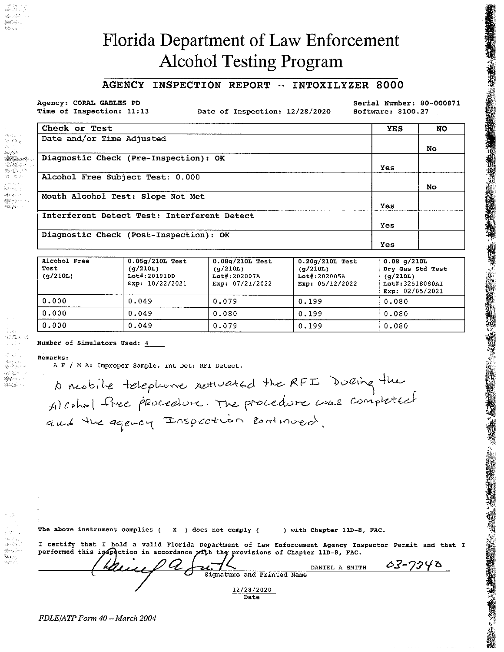# **Florida Department of Law Enforcement Alcohol Testing Program**

#### INSPECTION REPORT - INTOXILYZER 8000 **AGENCY**

Agency: CORAL GABLES PD Time of Inspection: 11:13

Date of Inspection: 12/28/2020

Serial Number: 80-000871 Software: 8100.27

| Check or Test                               | YES        | <b>NO</b> |
|---------------------------------------------|------------|-----------|
| Date and/or Time Adjusted                   |            |           |
|                                             |            | No.       |
| Diagnostic Check (Pre-Inspection): OK       |            |           |
|                                             | <b>Yes</b> |           |
| Alcohol Free Subject Test: 0.000            |            |           |
|                                             |            | No.       |
| Mouth Alcohol Test: Slope Not Met           |            |           |
|                                             | <b>Yes</b> |           |
| Interferent Detect Test: Interferent Detect |            |           |
|                                             | Yes        |           |
| Diagnostic Check (Post-Inspection): OK      |            |           |
|                                             | Yes        |           |

| Alcohol Free<br>Test<br>(g/210L) | $0.05q/210L$ Test<br>(d/210L)<br>Lot#:201910D<br>Exp: $10/22/2021$ | $0.08q/210L$ Test<br>(q/210L)<br>$Lot\$ :202007A<br>Exp: 07/21/2022 | $0.20q/210L$ Test<br>(q/210L)<br>$Lot$ #:202005A<br>Exp: 05/12/2022 | $0.08$ g/210L<br>Dry Gas Std Test<br>(q/210L)<br>Lot#:32518080AI<br>Exp: 02/05/2021 |
|----------------------------------|--------------------------------------------------------------------|---------------------------------------------------------------------|---------------------------------------------------------------------|-------------------------------------------------------------------------------------|
| 0.000                            | 0.049                                                              | 0.079                                                               | 0.199                                                               | 0.080                                                                               |
| 0.000                            | 0.049                                                              | 0.080                                                               | 0.199                                                               | 0.080                                                                               |
| 0.000                            | 0.049                                                              | 0.079                                                               | 0.199                                                               | 0.080                                                                               |

Number of Simulators Used: 4

### Remarks:

14. 接受:

بالمحمقة لا يو پارچينې کې د او د کالونو کې د او لري.<br>مونځي کې

AS 1

dign Agos 2 m  $\label{eq:1} \frac{1}{2} \sum_{i=1}^n \sum_{j=1}^n \sum_{j=1}^n \sum_{j=1}^n \sum_{j=1}^n \sum_{j=1}^n \sum_{j=1}^n \sum_{j=1}^n \sum_{j=1}^n \sum_{j=1}^n \sum_{j=1}^n \sum_{j=1}^n \sum_{j=1}^n \sum_{j=1}^n \sum_{j=1}^n \sum_{j=1}^n \sum_{j=1}^n \sum_{j=1}^n \sum_{j=1}^n \sum_{j=1}^n \sum_{j=1}^n \sum_{j=1}^n \sum_{j=1}^$ 

rigados e

地形面积  $\frac{1}{2}\left[\frac{2}{\lambda_{1}}\left(\omega_{1}x\right)\right]_{\lambda_{1}}\frac{1}{\lambda_{2}}\frac{1}{\lambda_{3}}\frac{1}{\lambda_{4}}\frac{1}{\lambda_{5}}\right]_{\lambda_{6}}\frac{1}{\lambda_{6}}\frac{1}{\lambda_{7}}\frac{1}{\lambda_{8}}\frac{1}{\lambda_{9}}\frac{1}{\lambda_{1}}\frac{1}{\lambda_{1}}\frac{1}{\lambda_{1}}\frac{1}{\lambda_{1}}\frac{1}{\lambda_{1}}\frac{1}{\lambda_{1}}\frac{1}{\lambda_{1}}\frac{1}{\lambda_{1}}\frac{1}{\lambda_{1}}\frac{1$ stations.

A F / M A: Improper Sample. Int Det: RFI Detect.

A reabile telephone activated the RFI During the and the agency Inspection continued.

The above instrument complies ( $X$ ) does not comply (

) with Chapter 11D-8, FAC.

| I certify that I hold a valid Florida Department of Law Enforcement Agency Inspector Permit and that I |                |         |
|--------------------------------------------------------------------------------------------------------|----------------|---------|
| performed this inspection in accordance with the provisions of Chapter 11D-8, FAC.                     |                |         |
| $(hh0Q+u.16)$                                                                                          |                | 03-7340 |
|                                                                                                        | DANIEL A SMITH |         |
| Signature and Printed Name                                                                             |                |         |
|                                                                                                        |                |         |

12/28/2020 Date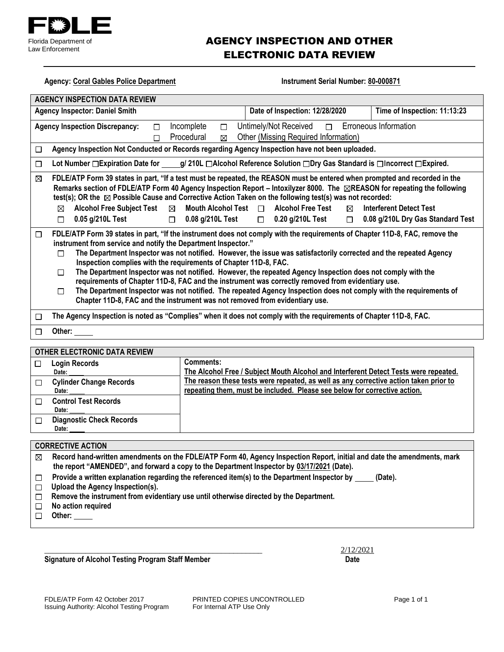

### AGENCY INSPECTION AND OTHER ELECTRONIC DATA REVIEW

| <b>Agency: Coral Gables Police Department</b><br>Instrument Serial Number: 80-000871                                   |                                                                                                                                                                                                                                                                                                                                                                                                                                                                                                                                                                                                                                                                                                                                                                                                                 |                                                                     |  |  |  |
|------------------------------------------------------------------------------------------------------------------------|-----------------------------------------------------------------------------------------------------------------------------------------------------------------------------------------------------------------------------------------------------------------------------------------------------------------------------------------------------------------------------------------------------------------------------------------------------------------------------------------------------------------------------------------------------------------------------------------------------------------------------------------------------------------------------------------------------------------------------------------------------------------------------------------------------------------|---------------------------------------------------------------------|--|--|--|
| <b>AGENCY INSPECTION DATA REVIEW</b>                                                                                   |                                                                                                                                                                                                                                                                                                                                                                                                                                                                                                                                                                                                                                                                                                                                                                                                                 |                                                                     |  |  |  |
| <b>Agency Inspector: Daniel Smith</b>                                                                                  | Date of Inspection: 12/28/2020<br>Time of Inspection: 11:13:23                                                                                                                                                                                                                                                                                                                                                                                                                                                                                                                                                                                                                                                                                                                                                  |                                                                     |  |  |  |
| <b>Agency Inspection Discrepancy:</b><br>$\Box$                                                                        | Incomplete<br>Untimely/Not Received<br>$\Box$<br>$\Box$                                                                                                                                                                                                                                                                                                                                                                                                                                                                                                                                                                                                                                                                                                                                                         | Erroneous Information                                               |  |  |  |
| $\Box$                                                                                                                 | Other (Missing Required Information)<br>Procedural<br>$\boxtimes$                                                                                                                                                                                                                                                                                                                                                                                                                                                                                                                                                                                                                                                                                                                                               |                                                                     |  |  |  |
| $\Box$                                                                                                                 | Agency Inspection Not Conducted or Records regarding Agency Inspection have not been uploaded.                                                                                                                                                                                                                                                                                                                                                                                                                                                                                                                                                                                                                                                                                                                  |                                                                     |  |  |  |
| $\Box$                                                                                                                 | Lot Number □ Expiration Date for _____g/ 210L □ Alcohol Reference Solution □ Dry Gas Standard is □ Incorrect □ Expired.                                                                                                                                                                                                                                                                                                                                                                                                                                                                                                                                                                                                                                                                                         |                                                                     |  |  |  |
| ⊠<br>Alcohol Free Subject Test ⊠<br>⊠<br>0.05 g/210L Test<br>П                                                         | FDLE/ATP Form 39 states in part, "If a test must be repeated, the REASON must be entered when prompted and recorded in the<br>Remarks section of FDLE/ATP Form 40 Agency Inspection Report - Intoxilyzer 8000. The <b>EREASON</b> for repeating the following<br>test(s); OR the $\boxtimes$ Possible Cause and Corrective Action Taken on the following test(s) was not recorded:<br>Mouth Alcohol Test $\Box$<br><b>Alcohol Free Test</b><br>$\boxtimes$<br>$\Box$ 0.08 g/210L Test<br>$\Box$ 0.20 g/210L Test<br>$\Box$                                                                                                                                                                                                                                                                                      | <b>Interferent Detect Test</b><br>0.08 g/210L Dry Gas Standard Test |  |  |  |
| □<br>п<br>п<br>$\Box$                                                                                                  | FDLE/ATP Form 39 states in part, "If the instrument does not comply with the requirements of Chapter 11D-8, FAC, remove the<br>instrument from service and notify the Department Inspector."<br>The Department Inspector was not notified. However, the issue was satisfactorily corrected and the repeated Agency<br>Inspection complies with the requirements of Chapter 11D-8, FAC.<br>The Department Inspector was not notified. However, the repeated Agency Inspection does not comply with the<br>requirements of Chapter 11D-8, FAC and the instrument was correctly removed from evidentiary use.<br>The Department Inspector was not notified. The repeated Agency Inspection does not comply with the requirements of<br>Chapter 11D-8, FAC and the instrument was not removed from evidentiary use. |                                                                     |  |  |  |
| The Agency Inspection is noted as "Complies" when it does not comply with the requirements of Chapter 11D-8, FAC.<br>□ |                                                                                                                                                                                                                                                                                                                                                                                                                                                                                                                                                                                                                                                                                                                                                                                                                 |                                                                     |  |  |  |
| Other:<br>□                                                                                                            |                                                                                                                                                                                                                                                                                                                                                                                                                                                                                                                                                                                                                                                                                                                                                                                                                 |                                                                     |  |  |  |
|                                                                                                                        |                                                                                                                                                                                                                                                                                                                                                                                                                                                                                                                                                                                                                                                                                                                                                                                                                 |                                                                     |  |  |  |
| <b>OTHER ELECTRONIC DATA REVIEW</b>                                                                                    | <b>Comments:</b>                                                                                                                                                                                                                                                                                                                                                                                                                                                                                                                                                                                                                                                                                                                                                                                                |                                                                     |  |  |  |
| <b>Login Records</b><br>$\Box$<br>Date:                                                                                | The Alcohol Free / Subject Mouth Alcohol and Interferent Detect Tests were repeated.                                                                                                                                                                                                                                                                                                                                                                                                                                                                                                                                                                                                                                                                                                                            |                                                                     |  |  |  |
| <b>Cylinder Change Records</b><br>□<br>Date:                                                                           | The reason these tests were repeated, as well as any corrective action taken prior to<br>repeating them, must be included. Please see below for corrective action.                                                                                                                                                                                                                                                                                                                                                                                                                                                                                                                                                                                                                                              |                                                                     |  |  |  |
| <b>Control Test Records</b><br>П<br>Date:                                                                              |                                                                                                                                                                                                                                                                                                                                                                                                                                                                                                                                                                                                                                                                                                                                                                                                                 |                                                                     |  |  |  |
| <b>Diagnostic Check Records</b><br>$\Box$<br>Date:                                                                     |                                                                                                                                                                                                                                                                                                                                                                                                                                                                                                                                                                                                                                                                                                                                                                                                                 |                                                                     |  |  |  |
|                                                                                                                        |                                                                                                                                                                                                                                                                                                                                                                                                                                                                                                                                                                                                                                                                                                                                                                                                                 |                                                                     |  |  |  |
|                                                                                                                        | <b>CORRECTIVE ACTION</b>                                                                                                                                                                                                                                                                                                                                                                                                                                                                                                                                                                                                                                                                                                                                                                                        |                                                                     |  |  |  |
| ⊠                                                                                                                      | Record hand-written amendments on the FDLE/ATP Form 40, Agency Inspection Report, initial and date the amendments, mark                                                                                                                                                                                                                                                                                                                                                                                                                                                                                                                                                                                                                                                                                         |                                                                     |  |  |  |
|                                                                                                                        | the report "AMENDED", and forward a copy to the Department Inspector by 03/17/2021 (Date).                                                                                                                                                                                                                                                                                                                                                                                                                                                                                                                                                                                                                                                                                                                      |                                                                     |  |  |  |
| $\Box$                                                                                                                 | Provide a written explanation regarding the referenced item(s) to the Department Inspector by                                                                                                                                                                                                                                                                                                                                                                                                                                                                                                                                                                                                                                                                                                                   | (Date).                                                             |  |  |  |
| Upload the Agency Inspection(s).<br>□<br>□                                                                             |                                                                                                                                                                                                                                                                                                                                                                                                                                                                                                                                                                                                                                                                                                                                                                                                                 |                                                                     |  |  |  |
| Remove the instrument from evidentiary use until otherwise directed by the Department.<br>No action required           |                                                                                                                                                                                                                                                                                                                                                                                                                                                                                                                                                                                                                                                                                                                                                                                                                 |                                                                     |  |  |  |
| $\Box$<br>Other:                                                                                                       |                                                                                                                                                                                                                                                                                                                                                                                                                                                                                                                                                                                                                                                                                                                                                                                                                 |                                                                     |  |  |  |

**Signature of Alcohol Testing Program Staff Member Date** 

 $\frac{2}{12/22021}$